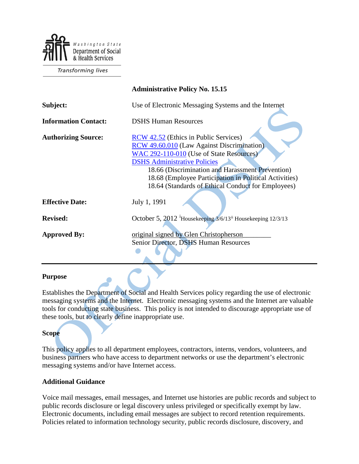

**Transforming lives** 

|                             | <b>Administrative Policy No. 15.15</b>                                                                                                                                                                                                                                                                                                            |
|-----------------------------|---------------------------------------------------------------------------------------------------------------------------------------------------------------------------------------------------------------------------------------------------------------------------------------------------------------------------------------------------|
| Subject:                    | Use of Electronic Messaging Systems and the Internet                                                                                                                                                                                                                                                                                              |
| <b>Information Contact:</b> | <b>DSHS Human Resources</b>                                                                                                                                                                                                                                                                                                                       |
| <b>Authorizing Source:</b>  | RCW 42.52 (Ethics in Public Services)<br><b>RCW</b> 49.60.010 (Law Against Discrimination)<br>WAC 292-110-010 (Use of State Resources)<br><b>DSHS Administrative Policies</b><br>18.66 (Discrimination and Harassment Prevention)<br>18.68 (Employee Participation in Political Activities)<br>18.64 (Standards of Ethical Conduct for Employees) |
| <b>Effective Date:</b>      | July 1, 1991                                                                                                                                                                                                                                                                                                                                      |
| <b>Revised:</b>             | October 5, 2012 Housekeeping 3/6/13 <sup>ii</sup> Housekeeping 12/3/13                                                                                                                                                                                                                                                                            |
| <b>Approved By:</b>         | original signed by Glen Christopherson<br>Senior Director, DSHS Human Resources                                                                                                                                                                                                                                                                   |

### **Purpose**

Establishes the Department of Social and Health Services policy regarding the use of electronic messaging systems and the Internet. Electronic messaging systems and the Internet are valuable tools for conducting state business. This policy is not intended to discourage appropriate use of these tools, but to clearly define inappropriate use.

### **Scope**

This policy applies to all department employees, contractors, interns, vendors, volunteers, and business partners who have access to department networks or use the department's electronic messaging systems and/or have Internet access.

### **Additional Guidance**

Voice mail messages, email messages, and Internet use histories are public records and subject to public records disclosure or legal discovery unless privileged or specifically exempt by law. Electronic documents, including email messages are subject to record retention requirements. Policies related to information technology security, public records disclosure, discovery, and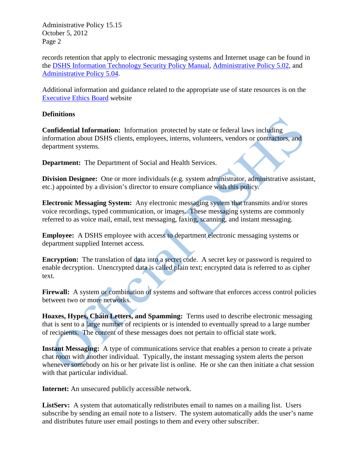records retention that apply to electronic messaging systems and Internet usage can be found in the [DSHS Information Technology Security Policy Manual,](http://ishare.dshs.wa.lcl/Security/Pages/Manual.aspx) [Administrative Policy 5.02,](http://one.dshs.wa.lcl/Policies/Administrative/DSHS-AP-05-02.pdf) and [Administrative Policy 5.04.](http://one.dshs.wa.lcl/Policies/Administrative/DSHS-AP-05-04.pdf)

Additional information and guidance related to the appropriate use of state resources is on the [Executive Ethics Board](http://www.ethics.wa.gov/) website

## **Definitions**

**Confidential Information:** Information protected by state or federal laws including information about DSHS clients, employees, interns, volunteers, vendors or contractors, and department systems.

**Department:** The Department of Social and Health Services.

**Division Designee:** One or more individuals (e.g. system administrator, administrative assistant, etc.) appointed by a division's director to ensure compliance with this policy.

**Electronic Messaging System:** Any electronic messaging system that transmits and/or stores voice recordings, typed communication, or images. These messaging systems are commonly referred to as voice mail, email, text messaging, faxing, scanning, and instant messaging.

**Employee:** A DSHS employee with access to department electronic messaging systems or department supplied Internet access.

**Encryption:** The translation of data into a secret code. A secret key or password is required to enable decryption. Unencrypted data is called plain text; encrypted data is referred to as cipher text.

Firewall: A system or combination of systems and software that enforces access control policies between two or more networks.

**Hoaxes, Hypes, Chain Letters, and Spamming:** Terms used to describe electronic messaging that is sent to a large number of recipients or is intended to eventually spread to a large number of recipients. The content of these messages does not pertain to official state work.

**Instant Messaging:** A type of communications service that enables a person to create a private chat room with another individual. Typically, the instant messaging system alerts the person whenever somebody on his or her private list is online. He or she can then initiate a chat session with that particular individual.

**Internet:** An unsecured publicly accessible network.

**ListServ:** A system that automatically redistributes email to names on a mailing list. Users subscribe by sending an email note to a listserv. The system automatically adds the user's name and distributes future user email postings to them and every other subscriber.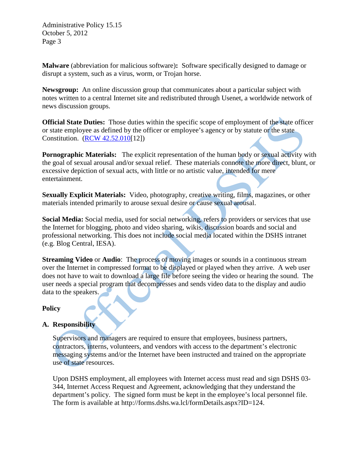**Malware** (abbreviation for malicious software)**:** Software specifically designed to damage or disrupt a system, such as a virus, worm, or Trojan horse.

**Newsgroup:** An online discussion group that communicates about a particular subject with notes written to a central Internet site and redistributed through Usenet, a worldwide network of news discussion groups.

**Official State Duties:** Those duties within the specific scope of employment of the state officer or state employee as defined by the officer or employee's agency or by statute or the state Constitution. [\(RCW 42.52.010\[](http://apps.leg.wa.gov/RCW/default.aspx?cite=42.52.010)12])

**Pornographic Materials:** The explicit representation of the human body or sexual activity with the goal of sexual arousal and/or sexual relief. These materials connote the more direct, blunt, or excessive depiction of sexual acts, with little or no artistic value, intended for mere entertainment.

**Sexually Explicit Materials:** Video, photography, creative writing, films, magazines, or other materials intended primarily to arouse sexual desire or cause sexual arousal.

**Social Media:** Social media, used for social networking, refers to providers or services that use the Internet for blogging, photo and video sharing, wikis, discussion boards and social and professional networking. This does not include social media located within the DSHS intranet (e.g. Blog Central, IESA).

**Streaming Video** or **Audio**: The process of moving images or sounds in a continuous stream over the Internet in compressed format to be displayed or played when they arrive. A web user does not have to wait to download a large file before seeing the video or hearing the sound. The user needs a special program that decompresses and sends video data to the display and audio data to the speakers.

### **Policy**

# **A. Responsibility**

Supervisors and managers are required to ensure that employees, business partners, contractors, interns, volunteers, and vendors with access to the department's electronic messaging systems and/or the Internet have been instructed and trained on the appropriate use of state resources.

Upon DSHS employment, all employees with Internet access must read and sign DSHS 03- 344, Internet Access Request and Agreement, acknowledging that they understand the department's policy. The signed form must be kept in the employee's local personnel file. The form is available at http://forms.dshs.wa.lcl/formDetails.aspx?ID=124.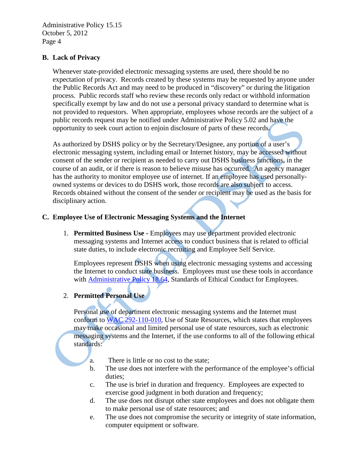## **B. Lack of Privacy**

Whenever state-provided electronic messaging systems are used, there should be no expectation of privacy. Records created by these systems may be requested by anyone under the Public Records Act and may need to be produced in "discovery" or during the litigation process. Public records staff who review these records only redact or withhold information specifically exempt by law and do not use a personal privacy standard to determine what is not provided to requestors. When appropriate, employees whose records are the subject of a public records request may be notified under Administrative Policy 5.02 and have the opportunity to seek court action to enjoin disclosure of parts of these records.

As authorized by DSHS policy or by the Secretary/Designee, any portion of a user's electronic messaging system, including email or Internet history, may be accessed without consent of the sender or recipient as needed to carry out DSHS business functions, in the course of an audit, or if there is reason to believe misuse has occurred. An agency manager has the authority to monitor employee use of internet. If an employee has used personallyowned systems or devices to do DSHS work, those records are also subject to access. Records obtained without the consent of the sender or recipient may be used as the basis for disciplinary action.

## **C. Employee Use of Electronic Messaging Systems and the Internet**

1. **Permitted Business Use -** Employees may use department provided electronic messaging systems and Internet access to conduct business that is related to official state duties, to include electronic recruiting and Employee Self Service.

Employees represent DSHS when using electronic messaging systems and accessing the Internet to conduct state business. Employees must use these tools in accordance with [Administrative Policy 18.64,](http://one.dshs.wa.lcl/Policies/Administrative/DSHS-AP-18-64.pdf) Standards of Ethical Conduct for Employees.

# 2. **Permitted Personal Use**

Personal use of department electronic messaging systems and the Internet must conform to [WAC 292-110-010,](http://apps.leg.wa.gov/WAC/default.aspx?cite=292-110-010) Use of State Resources, which states that employees may make occasional and limited personal use of state resources, such as electronic messaging systems and the Internet, if the use conforms to all of the following ethical standards:

- a. There is little or no cost to the state;
- b. The use does not interfere with the performance of the employee's official duties;
- c. The use is brief in duration and frequency. Employees are expected to exercise good judgment in both duration and frequency;
- d. The use does not disrupt other state employees and does not obligate them to make personal use of state resources; and
- e. The use does not compromise the security or integrity of state information, computer equipment or software.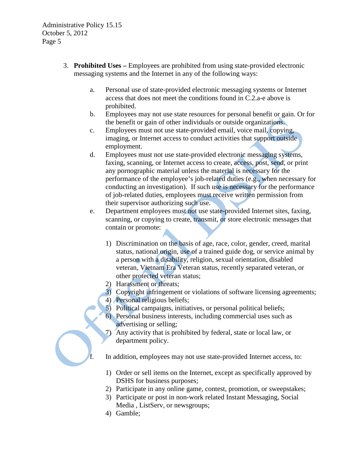- 3. **Prohibited Uses –** Employees are prohibited from using state-provided electronic messaging systems and the Internet in any of the following ways:
	- a. Personal use of state-provided electronic messaging systems or Internet access that does not meet the conditions found in C.2.a-e above is prohibited.
	- b. Employees may not use state resources for personal benefit or gain. Or for the benefit or gain of other individuals or outside organizations.
	- c. Employees must not use state-provided email, voice mail, copying, imaging, or Internet access to conduct activities that support outside employment.
	- d. Employees must not use state-provided electronic messaging systems, faxing, scanning, or Internet access to create, access, post, send, or print any pornographic material unless the material is necessary for the performance of the employee's job-related duties (e.g., when necessary for conducting an investigation). If such use is necessary for the performance of job-related duties, employees must receive written permission from their supervisor authorizing such use.
	- e. Department employees must not use state-provided Internet sites, faxing, scanning, or copying to create, transmit, or store electronic messages that contain or promote:
		- 1) Discrimination on the basis of age, race, color, gender, creed, marital status, national origin, use of a trained guide dog, or service animal by a person with a disability, religion, sexual orientation, disabled veteran, Vietnam Era Veteran status, recently separated veteran, or other protected veteran status;
		- 2) Harassment or threats;
		- 3) Copyright infringement or violations of software licensing agreements;
		- 4) Personal religious beliefs;
		- 5) Political campaigns, initiatives, or personal political beliefs;
		- 6) Personal business interests, including commercial uses such as advertising or selling;
		- 7) Any activity that is prohibited by federal, state or local law, or department policy.

In addition, employees may not use state-provided Internet access, to:

- 1) Order or sell items on the Internet, except as specifically approved by DSHS for business purposes;
- 2) Participate in any online game, contest, promotion, or sweepstakes;
- 3) Participate or post in non-work related Instant Messaging, Social Media , ListServ, or newsgroups;
- 4) Gamble;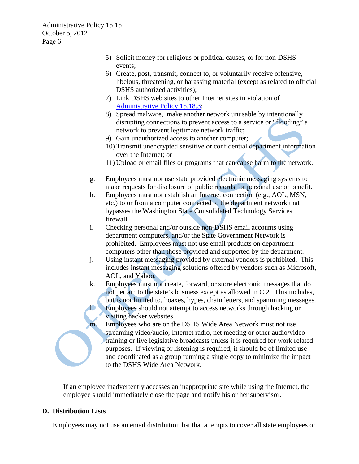- 5) Solicit money for religious or political causes, or for non-DSHS events;
- 6) Create, post, transmit, connect to, or voluntarily receive offensive, libelous, threatening, or harassing material (except as related to official DSHS authorized activities);
- 7) Link DSHS web sites to other Internet sites in violation of [Administrative Policy 15.18.3;](http://one.dshs.wa.lcl/Policies/Administrative/DSHS-AP-15-18-03.pdf)
- 8) Spread malware, make another network unusable by intentionally disrupting connections to prevent access to a service or "flooding" a network to prevent legitimate network traffic;
- 9) Gain unauthorized access to another computer;
- 10) Transmit unencrypted sensitive or confidential department information over the Internet; or
- 11) Upload or email files or programs that can cause harm to the network.
- g. Employees must not use state provided electronic messaging systems to make requests for disclosure of public records for personal use or benefit.
- h. Employees must not establish an Internet connection (e.g., AOL, MSN, etc.) to or from a computer connected to the department network that bypasses the Washington State Consolidated Technology Services firewall.
- i. Checking personal and/or outside non-DSHS email accounts using department computers, and/or the State Government Network is prohibited. Employees must not use email products on department computers other than those provided and supported by the department.
- j. Using instant messaging provided by external vendors is prohibited. This includes instant messaging solutions offered by vendors such as Microsoft, AOL, and Yahoo.
- k. Employees must not create, forward, or store electronic messages that do not pertain to the state's business except as allowed in C.2. This includes, but is not limited to, hoaxes, hypes, chain letters, and spamming messages. l. Employees should not attempt to access networks through hacking or
	- visiting hacker websites.
- m. Employees who are on the DSHS Wide Area Network must not use streaming video/audio, Internet radio, net meeting or other audio/video training or live legislative broadcasts unless it is required for work related purposes. If viewing or listening is required, it should be of limited use and coordinated as a group running a single copy to minimize the impact to the DSHS Wide Area Network.

If an employee inadvertently accesses an inappropriate site while using the Internet, the employee should immediately close the page and notify his or her supervisor.

# **D. Distribution Lists**

Employees may not use an email distribution list that attempts to cover all state employees or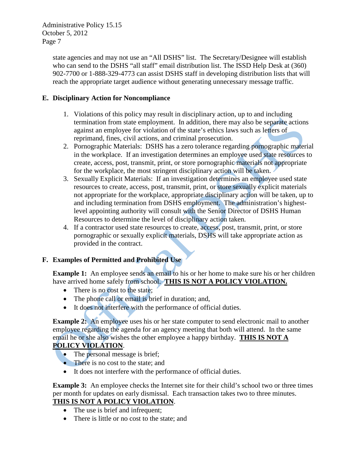> state agencies and may not use an "All DSHS" list. The Secretary/Designee will establish who can send to the DSHS "all staff" email distribution list. The ISSD Help Desk at (360) 902-7700 or 1-888-329-4773 can assist DSHS staff in developing distribution lists that will reach the appropriate target audience without generating unnecessary message traffic.

# **E. Disciplinary Action for Noncompliance**

- 1. Violations of this policy may result in disciplinary action, up to and including termination from state employment. In addition, there may also be separate actions against an employee for violation of the state's ethics laws such as letters of reprimand, fines, civil actions, and criminal prosecution.
- 2. Pornographic Materials: DSHS has a zero tolerance regarding pornographic material in the workplace. If an investigation determines an employee used state resources to create, access, post, transmit, print, or store pornographic materials not appropriate for the workplace, the most stringent disciplinary action will be taken.
- 3. Sexually Explicit Materials: If an investigation determines an employee used state resources to create, access, post, transmit, print, or store sexually explicit materials not appropriate for the workplace, appropriate disciplinary action will be taken, up to and including termination from DSHS employment. The administration's highestlevel appointing authority will consult with the Senior Director of DSHS Human Resources to determine the level of disciplinary action taken.
- 4. If a contractor used state resources to create, access, post, transmit, print, or store pornographic or sexually explicit materials, DSHS will take appropriate action as provided in the contract.

# **F. Examples of Permitted and Prohibited Use**

**Example 1:** An employee sends an email to his or her home to make sure his or her children have arrived home safely from school. **THIS IS NOT A POLICY VIOLATION.**

- There is no cost to the state;
- The phone call or email is brief in duration; and,
- It does not interfere with the performance of official duties.

**Example 2:** An employee uses his or her state computer to send electronic mail to another employee regarding the agenda for an agency meeting that both will attend. In the same email he or she also wishes the other employee a happy birthday. **THIS IS NOT A POLICY VIOLATION**.

- The personal message is brief;
- There is no cost to the state; and
- It does not interfere with the performance of official duties.

**Example 3:** An employee checks the Internet site for their child's school two or three times per month for updates on early dismissal. Each transaction takes two to three minutes. **THIS IS NOT A POLICY VIOLATION**.

- The use is brief and infrequent;
- There is little or no cost to the state; and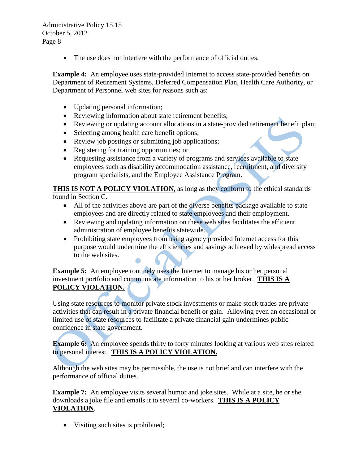• The use does not interfere with the performance of official duties.

**Example 4:** An employee uses state-provided Internet to access state-provided benefits on Department of Retirement Systems, Deferred Compensation Plan, Health Care Authority, or Department of Personnel web sites for reasons such as:

- Updating personal information;
- <span id="page-7-1"></span><span id="page-7-0"></span>• Reviewing information about state retirement benefits;
- Reviewing or updating account allocations in a state-provided retirement benefit plan;
- Selecting among health care benefit options;
- Review job postings or submitting job applications;
- Registering for training opportunities; or
- Requesting assistance from a variety of programs and services available to state employees such as disability accommodation assistance, recruitment, and diversity program specialists, and the Employee Assistance Program.

**THIS IS NOT A POLICY VIOLATION,** as long as they conform to the ethical standards found in Section C.

- All of the activities above are part of the diverse benefits package available to state employees and are directly related to state employees and their employment.
- Reviewing and updating information on these web sites facilitates the efficient administration of employee benefits statewide.
- Prohibiting state employees from using agency provided Internet access for this purpose would undermine the efficiencies and savings achieved by widespread access to the web sites.

**Example 5:** An employee routinely uses the Internet to manage his or her personal investment portfolio and communicate information to his or her broker. **THIS IS A POLICY VIOLATION.**

Using state resources to monitor private stock investments or make stock trades are private activities that can result in a private financial benefit or gain. Allowing even an occasional or limited use of state resources to facilitate a private financial gain undermines public confidence in state government.

**Example 6:** An employee spends thirty to forty minutes looking at various web sites related to personal interest. **THIS IS A POLICY VIOLATION.**

Although the web sites may be permissible, the use is not brief and can interfere with the performance of official duties.

**Example 7:** An employee visits several humor and joke sites. While at a site, he or she downloads a joke file and emails it to several co-workers. **THIS IS A POLICY VIOLATION**.

• Visiting such sites is prohibited;